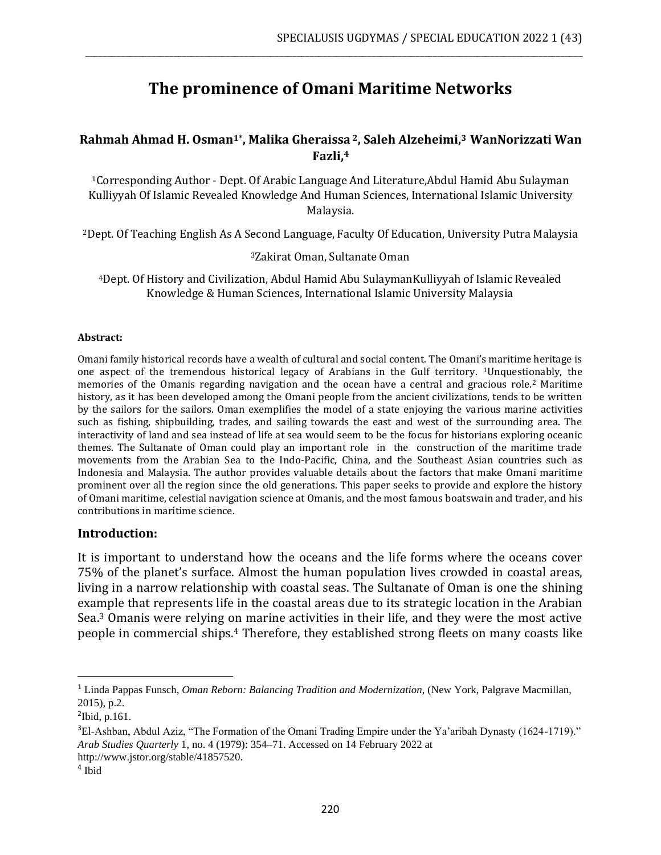# **The prominence of Omani Maritime Networks**

\_\_\_\_\_\_\_\_\_\_\_\_\_\_\_\_\_\_\_\_\_\_\_\_\_\_\_\_\_\_\_\_\_\_\_\_\_\_\_\_\_\_\_\_\_\_\_\_\_\_\_\_\_\_\_\_\_\_\_\_\_\_\_\_\_\_\_\_\_\_\_\_\_\_\_\_\_\_\_\_\_\_\_\_\_\_\_\_\_\_\_\_\_\_\_\_\_\_\_\_\_\_\_\_\_\_\_\_\_\_\_\_\_

### **Rahmah Ahmad H. Osman1\*, Malika Gheraissa <sup>2</sup>, Saleh Alzeheimi, <sup>3</sup>WanNorizzati Wan Fazli, 4**

<sup>1</sup>Corresponding Author - Dept. Of Arabic Language And Literature,Abdul Hamid Abu Sulayman Kulliyyah Of Islamic Revealed Knowledge And Human Sciences, International Islamic University Malaysia.

<sup>2</sup>Dept. Of Teaching English As A Second Language, Faculty Of Education, University Putra Malaysia

<sup>3</sup>Zakirat Oman, Sultanate Oman

<sup>4</sup>Dept. Of History and Civilization, Abdul Hamid Abu SulaymanKulliyyah of Islamic Revealed Knowledge & Human Sciences, International Islamic University Malaysia

#### **Abstract:**

Omani family historical records have a wealth of cultural and social content. The Omani's maritime heritage is one aspect of the tremendous historical legacy of Arabians in the Gulf territory. 1Unquestionably, the memories of the Omanis regarding navigation and the ocean have a central and gracious role.<sup>2</sup> Maritime history, as it has been developed among the Omani people from the ancient civilizations, tends to be written by the sailors for the sailors. Oman exemplifies the model of a state enjoying the various marine activities such as fishing, shipbuilding, trades, and sailing towards the east and west of the surrounding area. The interactivity of land and sea instead of life at sea would seem to be the focus for historians exploring oceanic themes. The Sultanate of Oman could play an important role in the construction of the maritime trade movements from the Arabian Sea to the Indo-Pacific, China, and the Southeast Asian countries such as Indonesia and Malaysia. The author provides valuable details about the factors that make Omani maritime prominent over all the region since the old generations. This paper seeks to provide and explore the history of Omani maritime, celestial navigation science at Omanis, and the most famous boatswain and trader, and his contributions in maritime science.

#### **Introduction:**

It is important to understand how the oceans and the life forms where the oceans cover 75% of the planet's surface. Almost the human population lives crowded in coastal areas, living in a narrow relationship with coastal seas. The Sultanate of Oman is one the shining example that represents life in the coastal areas due to its strategic location in the Arabian Sea.<sup>3</sup> Omanis were relying on marine activities in their life, and they were the most active people in commercial ships.<sup>4</sup> Therefore, they established strong fleets on many coasts like

<sup>1</sup> Linda Pappas Funsch, *Oman Reborn: Balancing Tradition and Modernization*, (New York, Palgrave Macmillan, 2015), p.2.

 $2$ Ibid, p.161.

<sup>&</sup>lt;sup>3</sup>El-Ashban, Abdul Aziz, "The Formation of the Omani Trading Empire under the Ya'aribah Dynasty (1624-1719)." *Arab Studies Quarterly* 1, no. 4 (1979): 354–71. Accessed on 14 February 2022 at http://www.jstor.org/stable/41857520.

<sup>4</sup> Ibid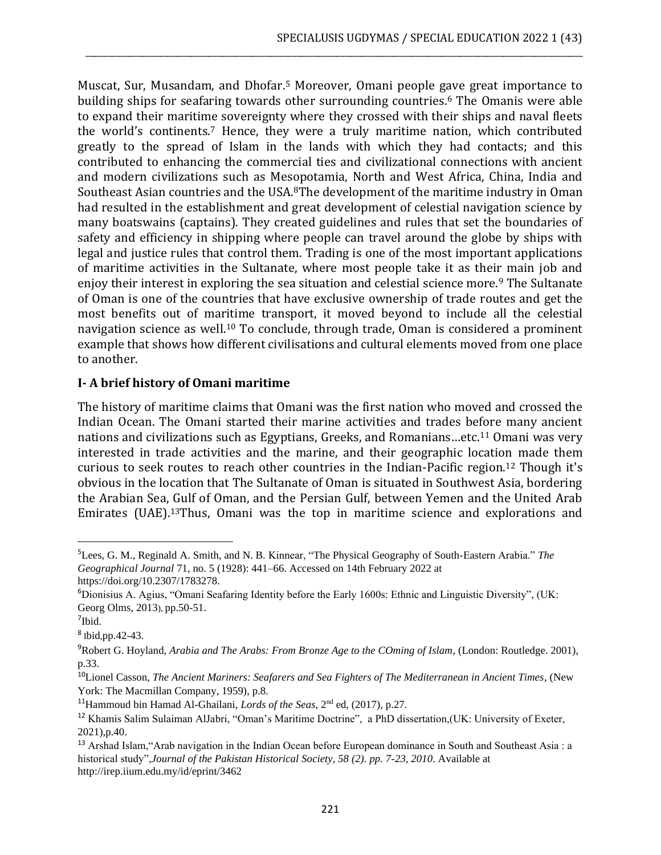Muscat, Sur, Musandam, and Dhofar.<sup>5</sup> Moreover, Omani people gave great importance to building ships for seafaring towards other surrounding countries.<sup>6</sup> The Omanis were able to expand their maritime sovereignty where they crossed with their ships and naval fleets the world's continents.<sup>7</sup> Hence, they were a truly maritime nation, which contributed greatly to the spread of Islam in the lands with which they had contacts; and this contributed to enhancing the commercial ties and civilizational connections with ancient and modern civilizations such as Mesopotamia, North and West Africa, China, India and Southeast Asian countries and the USA.8The development of the maritime industry in Oman had resulted in the establishment and great development of celestial navigation science by many boatswains (captains). They created guidelines and rules that set the boundaries of safety and efficiency in shipping where people can travel around the globe by ships with legal and justice rules that control them. Trading is one of the most important applications of maritime activities in the Sultanate, where most people take it as their main job and enjoy their interest in exploring the sea situation and celestial science more.<sup>9</sup> The Sultanate of Oman is one of the countries that have exclusive ownership of trade routes and get the most benefits out of maritime transport, it moved beyond to include all the celestial navigation science as well.<sup>10</sup> To conclude, through trade, Oman is considered a prominent example that shows how different civilisations and cultural elements moved from one place to another.

\_\_\_\_\_\_\_\_\_\_\_\_\_\_\_\_\_\_\_\_\_\_\_\_\_\_\_\_\_\_\_\_\_\_\_\_\_\_\_\_\_\_\_\_\_\_\_\_\_\_\_\_\_\_\_\_\_\_\_\_\_\_\_\_\_\_\_\_\_\_\_\_\_\_\_\_\_\_\_\_\_\_\_\_\_\_\_\_\_\_\_\_\_\_\_\_\_\_\_\_\_\_\_\_\_\_\_\_\_\_\_\_\_

### **I- A brief history of Omani maritime**

The history of maritime claims that Omani was the first nation who moved and crossed the Indian Ocean. The Omani started their marine activities and trades before many ancient nations and civilizations such as Egyptians, Greeks, and Romanians...etc.<sup>11</sup> Omani was very interested in trade activities and the marine, and their geographic location made them curious to seek routes to reach other countries in the Indian-Pacific region.<sup>12</sup> Though it's obvious in the location that The Sultanate of Oman is situated in Southwest Asia, bordering the Arabian Sea, Gulf of Oman, and the Persian Gulf, between Yemen and the United Arab Emirates (UAE). <sup>13</sup>Thus, Omani was the top in maritime science and explorations and

<sup>5</sup>Lees, G. M., Reginald A. Smith, and N. B. Kinnear, "The Physical Geography of South-Eastern Arabia." *The Geographical Journal* 71, no. 5 (1928): 441–66. Accessed on 14th February 2022 at

https://doi.org/10.2307/1783278.

<sup>6</sup>Dionisius A. Agius, "Omani Seafaring Identity before the Early 1600s: Ethnic and Linguistic Diversity", (UK: Georg Olms, 2013), pp.50-51.

<sup>7</sup> Ibid.

 $8$  Ibid, pp. 42-43.

<sup>9</sup>Robert G. Hoyland, *Arabia and The Arabs: From Bronze Age to the COming of Islam*, (London: Routledge. 2001), p.33.

<sup>10</sup>Lionel Casson, *The Ancient Mariners: Seafarers and Sea Fighters of The Mediterranean in Ancient Times*, (New York: The Macmillan Company, 1959), p.8.

<sup>11</sup>Hammoud bin Hamad Al-Ghailani, *Lords of the Seas*, 2nd ed, (2017), p.27.

<sup>12</sup> Khamis Salim Sulaiman AlJabri, "Oman's Maritime Doctrine", a PhD dissertation,(UK: University of Exeter, 2021),p.40.

<sup>&</sup>lt;sup>13</sup> Arshad Islam, "Arab navigation in the Indian Ocean before European dominance in South and Southeast Asia : a historical study",*Journal of the Pakistan Historical Society, 58 (2). pp. 7-23, 2010*. Available at <http://irep.iium.edu.my/id/eprint/3462>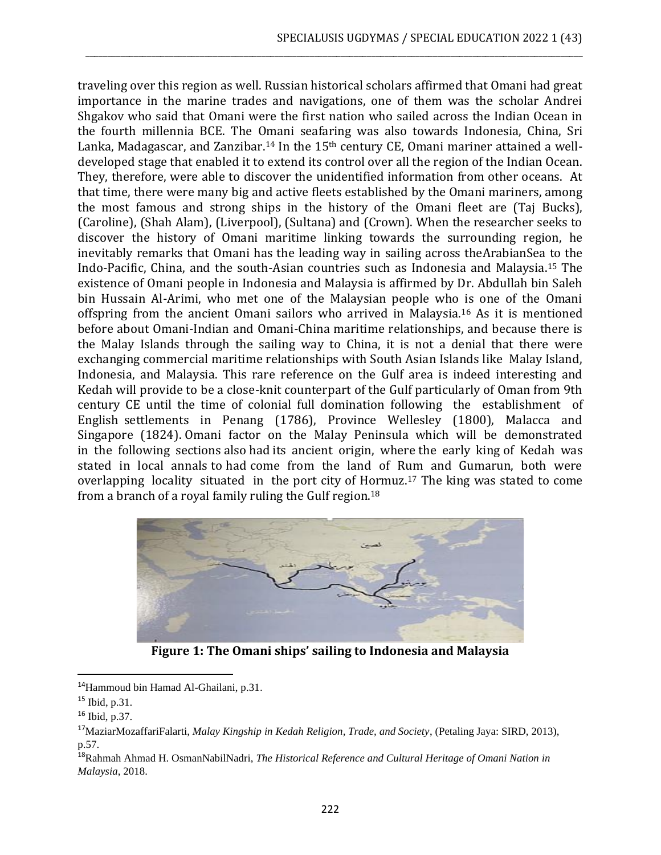traveling over this region as well. Russian historical scholars affirmed that Omani had great importance in the marine trades and navigations, one of them was the scholar Andrei Shgakov who said that Omani were the first nation who sailed across the Indian Ocean in the fourth millennia BCE. The Omani seafaring was also towards Indonesia, China, Sri Lanka, Madagascar, and Zanzibar.<sup>14</sup> In the 15<sup>th</sup> century CE, Omani mariner attained a welldeveloped stage that enabled it to extend its control over all the region of the Indian Ocean. They, therefore, were able to discover the unidentified information from other oceans. At that time, there were many big and active fleets established by the Omani mariners, among the most famous and strong ships in the history of the Omani fleet are (Taj Bucks), (Caroline), (Shah Alam), (Liverpool), (Sultana) and (Crown). When the researcher seeks to discover the history of Omani maritime linking towards the surrounding region, he inevitably remarks that Omani has the leading way in sailing across theArabianSea to the Indo-Pacific, China, and the south-Asian countries such as Indonesia and Malaysia.<sup>15</sup> The existence of Omani people in Indonesia and Malaysia is affirmed by Dr. Abdullah bin Saleh bin Hussain Al-Arimi, who met one of the Malaysian people who is one of the Omani offspring from the ancient Omani sailors who arrived in Malaysia.<sup>16</sup> As it is mentioned before about Omani-Indian and Omani-China maritime relationships, and because there is the Malay Islands through the sailing way to China, it is not a denial that there were exchanging commercial maritime relationships with South Asian Islands like Malay Island, Indonesia, and Malaysia. This rare reference on the Gulf area is indeed interesting and Kedah will provide to be a close-knit counterpart of the Gulf particularly of Oman from 9th century CE until the time of colonial full domination following the establishment of English settlements in Penang (1786), Province Wellesley (1800), Malacca and Singapore (1824). Omani factor on the Malay Peninsula which will be demonstrated in the following sections also had its ancient origin, where the early king of Kedah was stated in local annals to had come from the land of Rum and Gumarun, both were overlapping locality situated in the port city of Hormuz.<sup>17</sup> The king was stated to come from a branch of a royal family ruling the Gulf region.<sup>18</sup>

\_\_\_\_\_\_\_\_\_\_\_\_\_\_\_\_\_\_\_\_\_\_\_\_\_\_\_\_\_\_\_\_\_\_\_\_\_\_\_\_\_\_\_\_\_\_\_\_\_\_\_\_\_\_\_\_\_\_\_\_\_\_\_\_\_\_\_\_\_\_\_\_\_\_\_\_\_\_\_\_\_\_\_\_\_\_\_\_\_\_\_\_\_\_\_\_\_\_\_\_\_\_\_\_\_\_\_\_\_\_\_\_\_



**Figure 1: The Omani ships' sailing to Indonesia and Malaysia**

<sup>14</sup>Hammoud bin Hamad Al-Ghailani, p.31.

 $15$  Ibid, p.31.

<sup>16</sup> Ibid, p.37.

<sup>17</sup>MaziarMozaffariFalarti, *Malay Kingship in Kedah Religion, Trade, and Society*, (Petaling Jaya: SIRD, 2013), p.57.

<sup>18</sup>Rahmah Ahmad H. OsmanNabilNadri, *The Historical Reference and Cultural Heritage of Omani Nation in Malaysia*, 2018.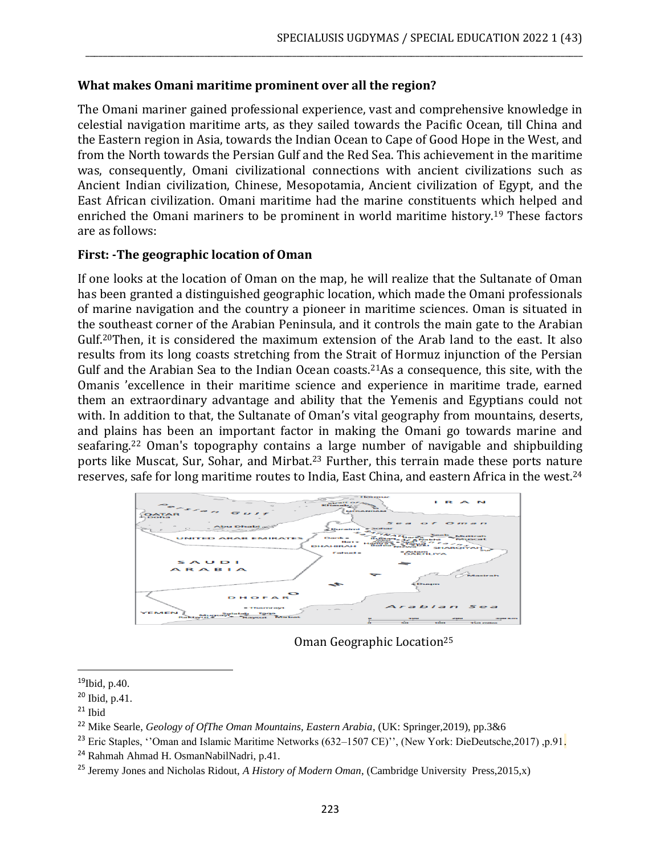#### **What makes Omani maritime prominent over all the region?**

The Omani mariner gained professional experience, vast and comprehensive knowledge in celestial navigation maritime arts, as they sailed towards the Pacific Ocean, till China and the Eastern region in Asia, towards the Indian Ocean to Cape of Good Hope in the West, and from the North towards the Persian Gulf and the Red Sea. This achievement in the maritime was, consequently, Omani civilizational connections with ancient civilizations such as Ancient Indian civilization, Chinese, Mesopotamia, Ancient civilization of Egypt, and the East African civilization. Omani maritime had the marine constituents which helped and enriched the Omani mariners to be prominent in world maritime history.<sup>19</sup> These factors are as follows:

\_\_\_\_\_\_\_\_\_\_\_\_\_\_\_\_\_\_\_\_\_\_\_\_\_\_\_\_\_\_\_\_\_\_\_\_\_\_\_\_\_\_\_\_\_\_\_\_\_\_\_\_\_\_\_\_\_\_\_\_\_\_\_\_\_\_\_\_\_\_\_\_\_\_\_\_\_\_\_\_\_\_\_\_\_\_\_\_\_\_\_\_\_\_\_\_\_\_\_\_\_\_\_\_\_\_\_\_\_\_\_\_\_

#### **First: -The geographic location of Oman**

If one looks at the location of Oman on the map, he will realize that the Sultanate of Oman has been granted a distinguished geographic location, which made the Omani professionals of marine navigation and the country a pioneer in maritime sciences. Oman is situated in the southeast corner of the Arabian Peninsula, and it controls the main gate to the Arabian Gulf.20Then, it is considered the maximum extension of the Arab land to the east. It also results from its long coasts stretching from the Strait of Hormuz injunction of the Persian Gulf and the Arabian Sea to the Indian Ocean coasts.<sup>21</sup>As a consequence, this site, with the Omanis 'excellence in their maritime science and experience in maritime trade, earned them an extraordinary advantage and ability that the Yemenis and Egyptians could not with. In addition to that, the Sultanate of Oman's vital geography from mountains, deserts, and plains has been an important factor in making the Omani go towards marine and seafaring.<sup>22</sup> Oman's topography contains a large number of navigable and shipbuilding ports like Muscat, Sur, Sohar, and Mirbat.<sup>23</sup> Further, this terrain made these ports nature reserves, safe for long maritime routes to India, East China, and eastern Africa in the west.<sup>24</sup>



Oman Geographic Location<sup>25</sup>

 $19$ Ibid, p.40.

<sup>20</sup> Ibid, p.41.

 $21$  Ibid

<sup>22</sup> Mike Searle, *Geology of OfThe Oman Mountains, Eastern Arabia*, (UK: Springer,2019), pp.3&6

<sup>&</sup>lt;sup>23</sup> Eric Staples, ''Oman and Islamic Maritime Networks (632–1507 CE)'', (New York: DieDeutsche,2017), p.91.

<sup>24</sup> Rahmah Ahmad H. OsmanNabilNadri, p.41.

<sup>25</sup> Jeremy Jones and Nicholas Ridout, *A History of Modern Oman*, (Cambridge University Press,2015,x)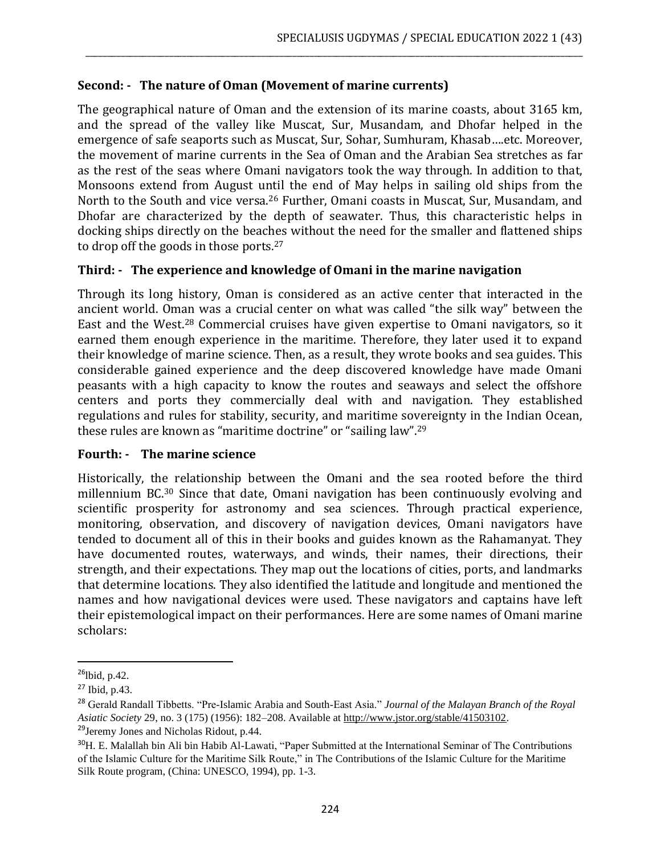### **Second: - The nature of Oman (Movement of marine currents)**

The geographical nature of Oman and the extension of its marine coasts, about 3165 km, and the spread of the valley like Muscat, Sur, Musandam, and Dhofar helped in the emergence of safe seaports such as Muscat, Sur, Sohar, Sumhuram, Khasab….etc. Moreover, the movement of marine currents in the Sea of Oman and the Arabian Sea stretches as far as the rest of the seas where Omani navigators took the way through. In addition to that, Monsoons extend from August until the end of May helps in sailing old ships from the North to the South and vice versa.<sup>26</sup> Further, Omani coasts in Muscat, Sur, Musandam, and Dhofar are characterized by the depth of seawater. Thus, this characteristic helps in docking ships directly on the beaches without the need for the smaller and flattened ships to drop off the goods in those ports.<sup>27</sup>

\_\_\_\_\_\_\_\_\_\_\_\_\_\_\_\_\_\_\_\_\_\_\_\_\_\_\_\_\_\_\_\_\_\_\_\_\_\_\_\_\_\_\_\_\_\_\_\_\_\_\_\_\_\_\_\_\_\_\_\_\_\_\_\_\_\_\_\_\_\_\_\_\_\_\_\_\_\_\_\_\_\_\_\_\_\_\_\_\_\_\_\_\_\_\_\_\_\_\_\_\_\_\_\_\_\_\_\_\_\_\_\_\_

### **Third: - The experience and knowledge of Omani in the marine navigation**

Through its long history, Oman is considered as an active center that interacted in the ancient world. Oman was a crucial center on what was called "the silk way" between the East and the West.<sup>28</sup> Commercial cruises have given expertise to Omani navigators, so it earned them enough experience in the maritime. Therefore, they later used it to expand their knowledge of marine science. Then, as a result, they wrote books and sea guides. This considerable gained experience and the deep discovered knowledge have made Omani peasants with a high capacity to know the routes and seaways and select the offshore centers and ports they commercially deal with and navigation. They established regulations and rules for stability, security, and maritime sovereignty in the Indian Ocean, these rules are known as "maritime doctrine" or "sailing law".<sup>29</sup>

#### **Fourth: - The marine science**

Historically, the relationship between the Omani and the sea rooted before the third millennium BC.<sup>30</sup> Since that date, Omani navigation has been continuously evolving and scientific prosperity for astronomy and sea sciences. Through practical experience, monitoring, observation, and discovery of navigation devices, Omani navigators have tended to document all of this in their books and guides known as the Rahamanyat. They have documented routes, waterways, and winds, their names, their directions, their strength, and their expectations. They map out the locations of cities, ports, and landmarks that determine locations. They also identified the latitude and longitude and mentioned the names and how navigational devices were used. These navigators and captains have left their epistemological impact on their performances. Here are some names of Omani marine scholars:

 $26$ lbid, p.42.

<sup>27</sup> Ibid, p.43.

<sup>28</sup> Gerald Randall Tibbetts. "Pre-Islamic Arabia and South-East Asia." *Journal of the Malayan Branch of the Royal Asiatic Society* 29, no. 3 (175) (1956): 182–208. Available at [http://www.jstor.org/stable/41503102.](http://www.jstor.org/stable/41503102) <sup>29</sup>Jeremy Jones and Nicholas Ridout, p.44.

<sup>&</sup>lt;sup>30</sup>H. E. Malallah bin Ali bin Habib Al-Lawati, "Paper Submitted at the International Seminar of The Contributions of the Islamic Culture for the Maritime Silk Route," in The Contributions of the Islamic Culture for the Maritime Silk Route program, (China: UNESCO, 1994), pp. 1-3.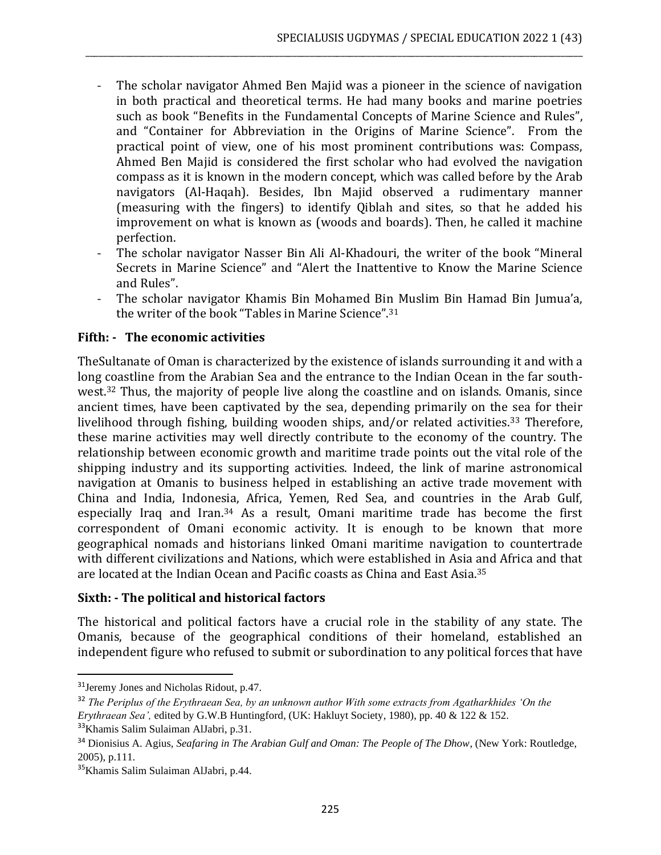The scholar navigator Ahmed Ben Majid was a pioneer in the science of navigation in both practical and theoretical terms. He had many books and marine poetries such as book "Benefits in the Fundamental Concepts of Marine Science and Rules", and "Container for Abbreviation in the Origins of Marine Science". From the practical point of view, one of his most prominent contributions was: Compass, Ahmed Ben Majid is considered the first scholar who had evolved the navigation compass as it is known in the modern concept, which was called before by the Arab navigators (Al-Haqah). Besides, Ibn Majid observed a rudimentary manner (measuring with the fingers) to identify Qiblah and sites, so that he added his improvement on what is known as (woods and boards). Then, he called it machine perfection.

\_\_\_\_\_\_\_\_\_\_\_\_\_\_\_\_\_\_\_\_\_\_\_\_\_\_\_\_\_\_\_\_\_\_\_\_\_\_\_\_\_\_\_\_\_\_\_\_\_\_\_\_\_\_\_\_\_\_\_\_\_\_\_\_\_\_\_\_\_\_\_\_\_\_\_\_\_\_\_\_\_\_\_\_\_\_\_\_\_\_\_\_\_\_\_\_\_\_\_\_\_\_\_\_\_\_\_\_\_\_\_\_\_

- The scholar navigator Nasser Bin Ali Al-Khadouri, the writer of the book "Mineral Secrets in Marine Science" and "Alert the Inattentive to Know the Marine Science and Rules".
- The scholar navigator Khamis Bin Mohamed Bin Muslim Bin Hamad Bin Jumua'a, the writer of the book "Tables in Marine Science".<sup>31</sup>

# **Fifth: - The economic activities**

TheSultanate of Oman is characterized by the existence of islands surrounding it and with a long coastline from the Arabian Sea and the entrance to the Indian Ocean in the far southwest.<sup>32</sup> Thus, the majority of people live along the coastline and on islands. Omanis, since ancient times, have been captivated by the sea, depending primarily on the sea for their livelihood through fishing, building wooden ships, and/or related activities.<sup>33</sup> Therefore, these marine activities may well directly contribute to the economy of the country. The relationship between economic growth and maritime trade points out the vital role of the shipping industry and its supporting activities. Indeed, the link of marine astronomical navigation at Omanis to business helped in establishing an active trade movement with China and India, Indonesia, Africa, Yemen, Red Sea, and countries in the Arab Gulf, especially Iraq and Iran.<sup>34</sup> As a result, Omani maritime trade has become the first correspondent of Omani economic activity. It is enough to be known that more geographical nomads and historians linked Omani maritime navigation to countertrade with different civilizations and Nations, which were established in Asia and Africa and that are located at the Indian Ocean and Pacific coasts as China and East Asia.<sup>35</sup>

# **Sixth: - The political and historical factors**

The historical and political factors have a crucial role in the stability of any state. The Omanis, because of the geographical conditions of their homeland, established an independent figure who refused to submit or subordination to any political forces that have

<sup>31</sup>Jeremy Jones and Nicholas Ridout, p.47.

<sup>32</sup> *The Periplus of the Erythraean Sea, by an unknown author With some extracts from Agatharkhides 'On the Erythraean Sea',* edited by G.W.B Huntingford, (UK: Hakluyt Society, 1980), pp. 40 & 122 & 152. <sup>33</sup>Khamis Salim Sulaiman AlJabri, p.31.

<sup>34</sup> Dionisius A. Agius, *Seafaring in The Arabian Gulf and Oman: The People of The Dhow*, (New York: Routledge, 2005), p.111.

<sup>35</sup>Khamis Salim Sulaiman AlJabri, p.44.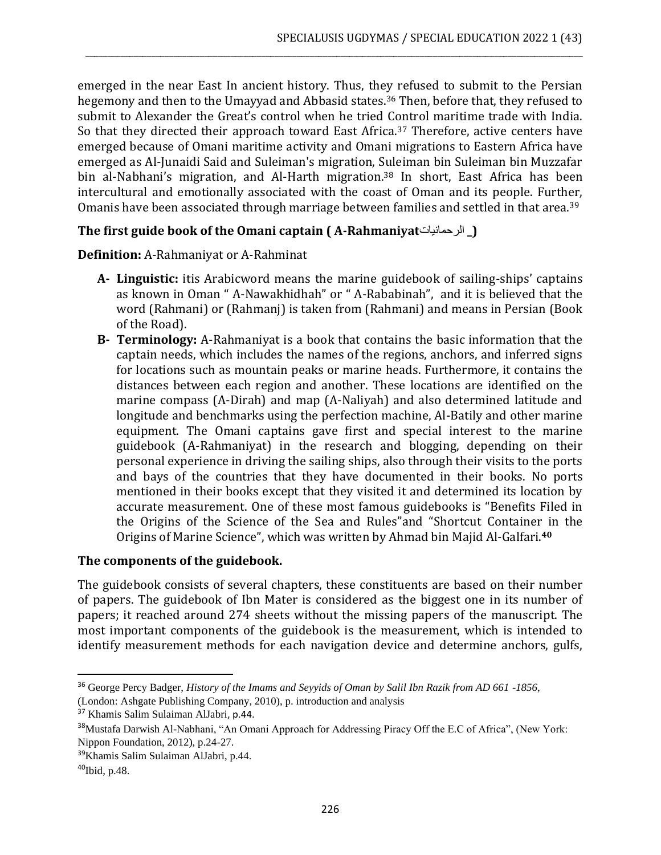emerged in the near East In ancient history. Thus, they refused to submit to the Persian hegemony and then to the Umayyad and Abbasid states.<sup>36</sup> Then, before that, they refused to submit to Alexander the Great's control when he tried Control maritime trade with India. So that they directed their approach toward East Africa.<sup>37</sup> Therefore, active centers have emerged because of Omani maritime activity and Omani migrations to Eastern Africa have emerged as Al-Junaidi Said and Suleiman's migration, Suleiman bin Suleiman bin Muzzafar bin al-Nabhani's migration, and Al-Harth migration.<sup>38</sup> In short, East Africa has been intercultural and emotionally associated with the coast of Oman and its people. Further, Omanis have been associated through marriage between families and settled in that area.<sup>39</sup>

\_\_\_\_\_\_\_\_\_\_\_\_\_\_\_\_\_\_\_\_\_\_\_\_\_\_\_\_\_\_\_\_\_\_\_\_\_\_\_\_\_\_\_\_\_\_\_\_\_\_\_\_\_\_\_\_\_\_\_\_\_\_\_\_\_\_\_\_\_\_\_\_\_\_\_\_\_\_\_\_\_\_\_\_\_\_\_\_\_\_\_\_\_\_\_\_\_\_\_\_\_\_\_\_\_\_\_\_\_\_\_\_\_

# **The first guide book of the Omani captain ( A-Rahmaniyat**الرحمانيات**(\_**

**Definition:** A-Rahmaniyat or A-Rahminat

- **A- Linguistic:** itis Arabicword means the marine guidebook of sailing-ships' captains as known in Oman " A-Nawakhidhah" or " A-Rababinah", and it is believed that the word (Rahmani) or (Rahmanj) is taken from (Rahmani) and means in Persian (Book of the Road).
- **B- Terminology:** A-Rahmaniyat is a book that contains the basic information that the captain needs, which includes the names of the regions, anchors, and inferred signs for locations such as mountain peaks or marine heads. Furthermore, it contains the distances between each region and another. These locations are identified on the marine compass (A-Dirah) and map (A-Naliyah) and also determined latitude and longitude and benchmarks using the perfection machine, Al-Batily and other marine equipment. The Omani captains gave first and special interest to the marine guidebook (A-Rahmaniyat) in the research and blogging, depending on their personal experience in driving the sailing ships, also through their visits to the ports and bays of the countries that they have documented in their books. No ports mentioned in their books except that they visited it and determined its location by accurate measurement. One of these most famous guidebooks is "Benefits Filed in the Origins of the Science of the Sea and Rules"and "Shortcut Container in the Origins of Marine Science", which was written by Ahmad bin Majid Al-Galfari.**<sup>40</sup>**

#### **The components of the guidebook.**

The guidebook consists of several chapters, these constituents are based on their number of papers. The guidebook of Ibn Mater is considered as the biggest one in its number of papers; it reached around 274 sheets without the missing papers of the manuscript. The most important components of the guidebook is the measurement, which is intended to identify measurement methods for each navigation device and determine anchors, gulfs,

<sup>36</sup> George Percy Badger, *History of the Imams and Seyyids of Oman by Salil Ibn Razik from AD 661 -1856*, (London: Ashgate Publishing Company, 2010), p. introduction and analysis

<sup>37</sup> Khamis Salim Sulaiman AlJabri, p.44.

<sup>&</sup>lt;sup>38</sup>Mustafa Darwish Al-Nabhani, "An Omani Approach for Addressing Piracy Off the E.C of Africa", (New York: Nippon Foundation, 2012), p.24-27.

<sup>39</sup>Khamis Salim Sulaiman AlJabri, p.44.

 $40$ Ibid, p.48.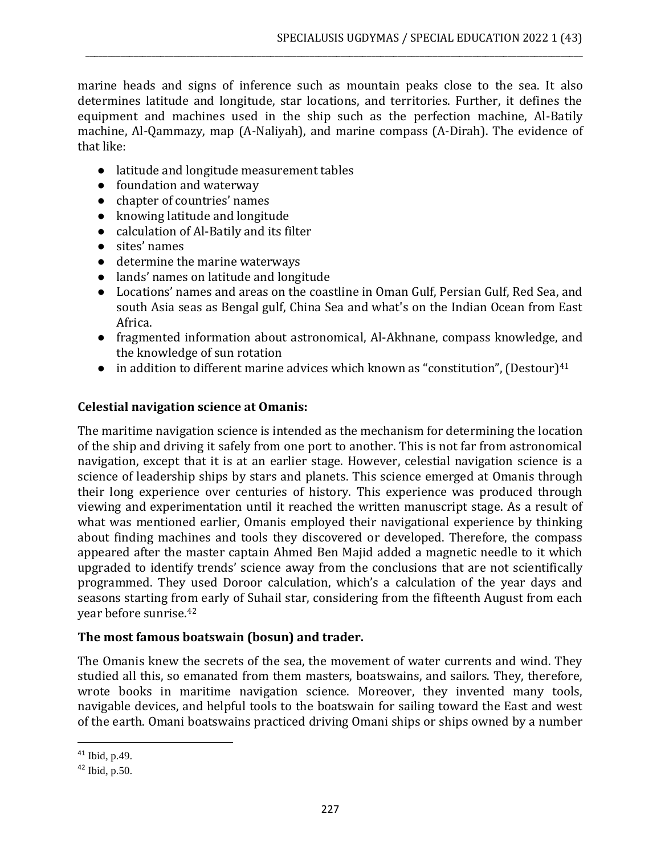marine heads and signs of inference such as mountain peaks close to the sea. It also determines latitude and longitude, star locations, and territories. Further, it defines the equipment and machines used in the ship such as the perfection machine, Al-Batily machine, Al-Qammazy, map (A-Naliyah), and marine compass (A-Dirah). The evidence of that like:

\_\_\_\_\_\_\_\_\_\_\_\_\_\_\_\_\_\_\_\_\_\_\_\_\_\_\_\_\_\_\_\_\_\_\_\_\_\_\_\_\_\_\_\_\_\_\_\_\_\_\_\_\_\_\_\_\_\_\_\_\_\_\_\_\_\_\_\_\_\_\_\_\_\_\_\_\_\_\_\_\_\_\_\_\_\_\_\_\_\_\_\_\_\_\_\_\_\_\_\_\_\_\_\_\_\_\_\_\_\_\_\_\_

- latitude and longitude measurement tables
- foundation and waterway
- chapter of countries' names
- knowing latitude and longitude
- calculation of Al-Batily and its filter
- sites' names
- determine the marine waterways
- lands' names on latitude and longitude
- Locations' names and areas on the coastline in Oman Gulf, Persian Gulf, Red Sea, and south Asia seas as Bengal gulf, China Sea and what's on the Indian Ocean from East Africa.
- fragmented information about astronomical, Al-Akhnane, compass knowledge, and the knowledge of sun rotation
- in addition to different marine advices which known as "constitution", (Destour) $41$

#### **Celestial navigation science at Omanis:**

The maritime navigation science is intended as the mechanism for determining the location of the ship and driving it safely from one port to another. This is not far from astronomical navigation, except that it is at an earlier stage. However, celestial navigation science is a science of leadership ships by stars and planets. This science emerged at Omanis through their long experience over centuries of history. This experience was produced through viewing and experimentation until it reached the written manuscript stage. As a result of what was mentioned earlier, Omanis employed their navigational experience by thinking about finding machines and tools they discovered or developed. Therefore, the compass appeared after the master captain Ahmed Ben Majid added a magnetic needle to it which upgraded to identify trends' science away from the conclusions that are not scientifically programmed. They used Doroor calculation, which's a calculation of the year days and seasons starting from early of Suhail star, considering from the fifteenth August from each year before sunrise.<sup>42</sup>

#### **The most famous boatswain (bosun) and trader.**

The Omanis knew the secrets of the sea, the movement of water currents and wind. They studied all this, so emanated from them masters, boatswains, and sailors. They, therefore, wrote books in maritime navigation science. Moreover, they invented many tools, navigable devices, and helpful tools to the boatswain for sailing toward the East and west of the earth. Omani boatswains practiced driving Omani ships or ships owned by a number

<sup>41</sup> Ibid, p.49.

<sup>42</sup> Ibid, p.50.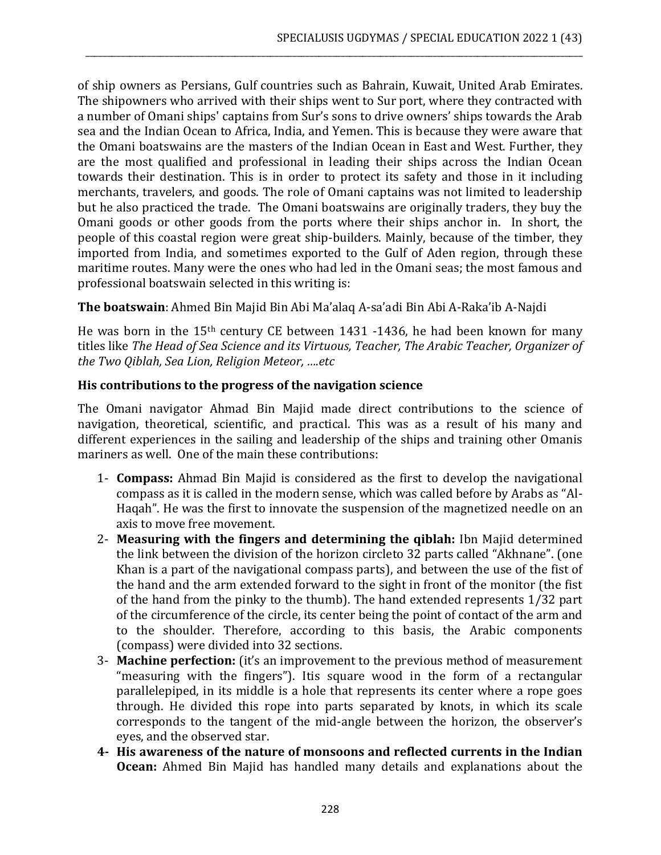of ship owners as Persians, Gulf countries such as Bahrain, Kuwait, United Arab Emirates. The shipowners who arrived with their ships went to Sur port, where they contracted with a number of Omani ships' captains from Sur's sons to drive owners' ships towards the Arab sea and the Indian Ocean to Africa, India, and Yemen. This is because they were aware that the Omani boatswains are the masters of the Indian Ocean in East and West. Further, they are the most qualified and professional in leading their ships across the Indian Ocean towards their destination. This is in order to protect its safety and those in it including merchants, travelers, and goods. The role of Omani captains was not limited to leadership but he also practiced the trade. The Omani boatswains are originally traders, they buy the Omani goods or other goods from the ports where their ships anchor in. In short, the people of this coastal region were great ship-builders. Mainly, because of the timber, they imported from India, and sometimes exported to the Gulf of Aden region, through these maritime routes. Many were the ones who had led in the Omani seas; the most famous and professional boatswain selected in this writing is:

\_\_\_\_\_\_\_\_\_\_\_\_\_\_\_\_\_\_\_\_\_\_\_\_\_\_\_\_\_\_\_\_\_\_\_\_\_\_\_\_\_\_\_\_\_\_\_\_\_\_\_\_\_\_\_\_\_\_\_\_\_\_\_\_\_\_\_\_\_\_\_\_\_\_\_\_\_\_\_\_\_\_\_\_\_\_\_\_\_\_\_\_\_\_\_\_\_\_\_\_\_\_\_\_\_\_\_\_\_\_\_\_\_

**The boatswain**: Ahmed Bin Majid Bin Abi Ma'alaq A-sa'adi Bin Abi A-Raka'ib A-Najdi

He was born in the 15th century CE between 1431 -1436, he had been known for many titles like *The Head of Sea Science and its Virtuous, Teacher, The Arabic Teacher, Organizer of the Two Qiblah, Sea Lion, Religion Meteor, ….etc*

# **His contributions to the progress of the navigation science**

The Omani navigator Ahmad Bin Majid made direct contributions to the science of navigation, theoretical, scientific, and practical. This was as a result of his many and different experiences in the sailing and leadership of the ships and training other Omanis mariners as well. One of the main these contributions:

- 1- **Compass:** Ahmad Bin Majid is considered as the first to develop the navigational compass as it is called in the modern sense, which was called before by Arabs as "Al-Haqah". He was the first to innovate the suspension of the magnetized needle on an axis to move free movement.
- 2- **Measuring with the fingers and determining the qiblah:** Ibn Majid determined the link between the division of the horizon circleto 32 parts called "Akhnane". (one Khan is a part of the navigational compass parts), and between the use of the fist of the hand and the arm extended forward to the sight in front of the monitor (the fist of the hand from the pinky to the thumb). The hand extended represents 1/32 part of the circumference of the circle, its center being the point of contact of the arm and to the shoulder. Therefore, according to this basis, the Arabic components (compass) were divided into 32 sections.
- 3- **Machine perfection:** (it's an improvement to the previous method of measurement "measuring with the fingers"). Itis square wood in the form of a rectangular parallelepiped, in its middle is a hole that represents its center where a rope goes through. He divided this rope into parts separated by knots, in which its scale corresponds to the tangent of the mid-angle between the horizon, the observer's eyes, and the observed star.
- **4- His awareness of the nature of monsoons and reflected currents in the Indian Ocean:** Ahmed Bin Majid has handled many details and explanations about the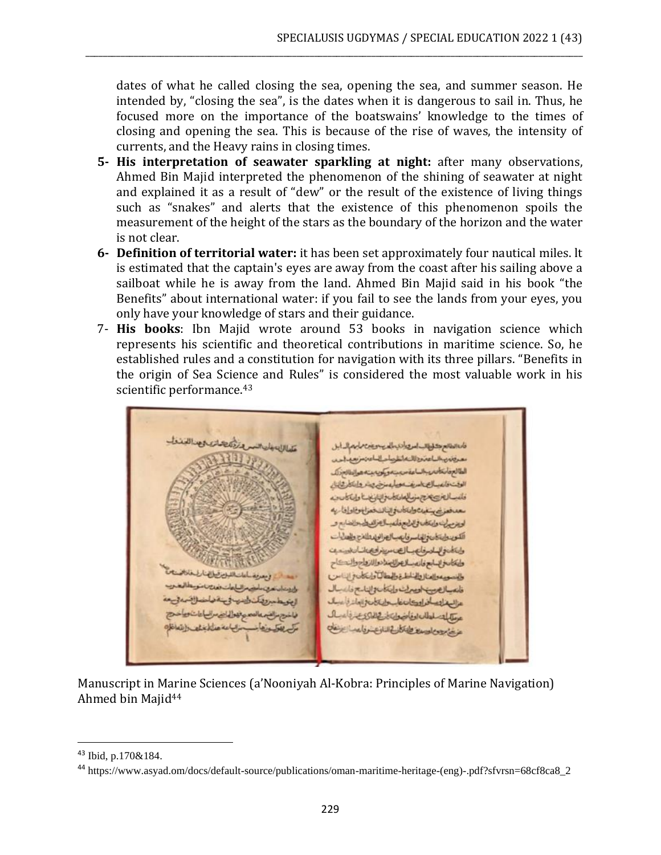dates of what he called closing the sea, opening the sea, and summer season. He intended by, "closing the sea", is the dates when it is dangerous to sail in. Thus, he focused more on the importance of the boatswains' knowledge to the times of closing and opening the sea. This is because of the rise of waves, the intensity of currents, and the Heavy rains in closing times.

\_\_\_\_\_\_\_\_\_\_\_\_\_\_\_\_\_\_\_\_\_\_\_\_\_\_\_\_\_\_\_\_\_\_\_\_\_\_\_\_\_\_\_\_\_\_\_\_\_\_\_\_\_\_\_\_\_\_\_\_\_\_\_\_\_\_\_\_\_\_\_\_\_\_\_\_\_\_\_\_\_\_\_\_\_\_\_\_\_\_\_\_\_\_\_\_\_\_\_\_\_\_\_\_\_\_\_\_\_\_\_\_\_

- **5- His interpretation of seawater sparkling at night:** after many observations, Ahmed Bin Majid interpreted the phenomenon of the shining of seawater at night and explained it as a result of "dew" or the result of the existence of living things such as "snakes" and alerts that the existence of this phenomenon spoils the measurement of the height of the stars as the boundary of the horizon and the water is not clear.
- **6- Definition of territorial water:** it has been set approximately four nautical miles. lt is estimated that the captain's eyes are away from the coast after his sailing above a sailboat while he is away from the land. Ahmed Bin Majid said in his book "the Benefits" about international water: if you fail to see the lands from your eyes, you only have your knowledge of stars and their guidance.
- 7- **His books**: Ibn Majid wrote around 53 books in navigation science which represents his scientific and theoretical contributions in maritime science. So, he established rules and a constitution for navigation with its three pillars. "Benefits in the origin of Sea Science and Rules" is considered the most valuable work in his scientific performance.<sup>43</sup>

livercitation. فالعانطام كلطالب اس والايمالي يسوين ماسم الدابل معرفتين بالماعت وللمخطر صاحبا عن مزيعيه احد الطالع فانكادى بالساعة مجينه ويكويه بنه هوالطالع زرك الوقت فانعيسال بالسريف ويبارعه بزن ويشر وابتكار وابناء فتحافظ لتنضا بالمحافا والمتصاحب وتناسفاه معدفه في سفيد والخالدة النائك فعزان والداريه المصاريح واعتلى فالألج فأعبدالطرائع المسالنة ابع و الكويدولية فان وللهاسر فابتعب التعزالولدوللذج والمعايات وانتضافه للمرفاني بالصامرية ولتصائد الملوزوي طعكاسر بسابع فانصد لاعرائ ملادوا الزواح والنحكاح طاسويه والعناز والخاطرة والمطالبا وابتكاده والناس فلعبالص الصرف وإيكان والناسع فاعبدال المتوحس وتنافسها وسلموه عزاليه لتعافراودان فاسلالتان والمازة عسال عطابك سلطان اوقاضوان لأعظائ والمناول زالقير والتحدن تهوا لياض مراسياتات تطفئين والمعافل تناقل فالتافيض فالمصالح بمنافض

Manuscript in Marine Sciences (a'Nooniyah Al-Kobra: Principles of Marine Navigation) Ahmed bin Majid<sup>44</sup>

<sup>43</sup> Ibid, p.170&184.

<sup>44</sup> https://www.asyad.om/docs/default-source/publications/oman-maritime-heritage-(eng)-.pdf?sfvrsn=68cf8ca8\_2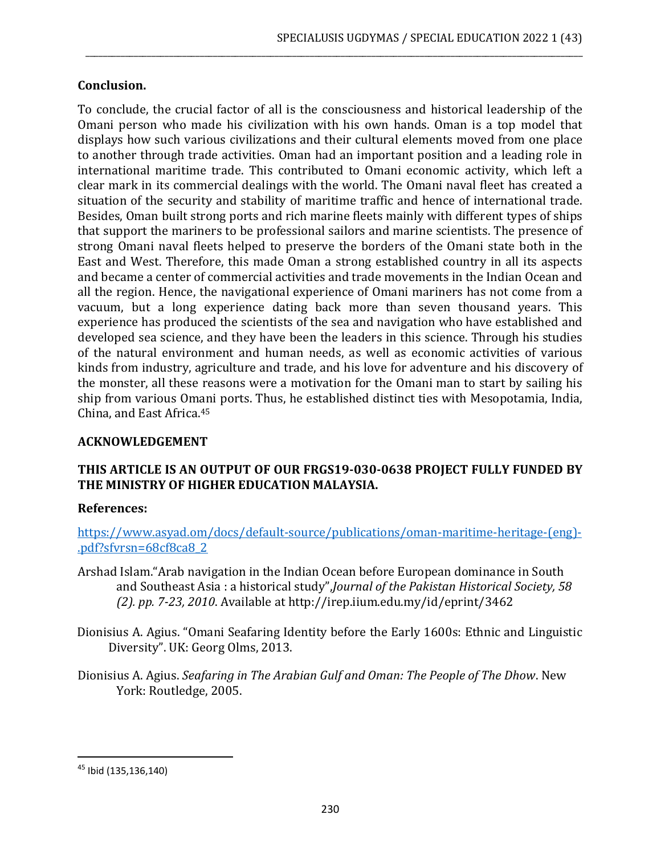### **Conclusion.**

To conclude, the crucial factor of all is the consciousness and historical leadership of the Omani person who made his civilization with his own hands. Oman is a top model that displays how such various civilizations and their cultural elements moved from one place to another through trade activities. Oman had an important position and a leading role in international maritime trade. This contributed to Omani economic activity, which left a clear mark in its commercial dealings with the world. The Omani naval fleet has created a situation of the security and stability of maritime traffic and hence of international trade. Besides, Oman built strong ports and rich marine fleets mainly with different types of ships that support the mariners to be professional sailors and marine scientists. The presence of strong Omani naval fleets helped to preserve the borders of the Omani state both in the East and West. Therefore, this made Oman a strong established country in all its aspects and became a center of commercial activities and trade movements in the Indian Ocean and all the region. Hence, the navigational experience of Omani mariners has not come from a vacuum, but a long experience dating back more than seven thousand years. This experience has produced the scientists of the sea and navigation who have established and developed sea science, and they have been the leaders in this science. Through his studies of the natural environment and human needs, as well as economic activities of various kinds from industry, agriculture and trade, and his love for adventure and his discovery of the monster, all these reasons were a motivation for the Omani man to start by sailing his ship from various Omani ports. Thus, he established distinct ties with Mesopotamia, India, China, and East Africa.<sup>45</sup>

\_\_\_\_\_\_\_\_\_\_\_\_\_\_\_\_\_\_\_\_\_\_\_\_\_\_\_\_\_\_\_\_\_\_\_\_\_\_\_\_\_\_\_\_\_\_\_\_\_\_\_\_\_\_\_\_\_\_\_\_\_\_\_\_\_\_\_\_\_\_\_\_\_\_\_\_\_\_\_\_\_\_\_\_\_\_\_\_\_\_\_\_\_\_\_\_\_\_\_\_\_\_\_\_\_\_\_\_\_\_\_\_\_

# **ACKNOWLEDGEMENT**

# **THIS ARTICLE IS AN OUTPUT OF OUR FRGS19-030-0638 PROJECT FULLY FUNDED BY THE MINISTRY OF HIGHER EDUCATION MALAYSIA.**

#### **References:**

[https://www.asyad.om/docs/default-source/publications/oman-maritime-heritage-\(eng\)-](https://www.asyad.om/docs/default-source/publications/oman-maritime-heritage-(eng)-.pdf?sfvrsn=68cf8ca8_2) [.pdf?sfvrsn=68cf8ca8\\_2](https://www.asyad.om/docs/default-source/publications/oman-maritime-heritage-(eng)-.pdf?sfvrsn=68cf8ca8_2)

- Arshad Islam."Arab navigation in the Indian Ocean before European dominance in South and Southeast Asia : a historical study",*Journal of the Pakistan Historical Society, 58 (2). pp. 7-23, 2010*. Available at<http://irep.iium.edu.my/id/eprint/3462>
- Dionisius A. Agius. "Omani Seafaring Identity before the Early 1600s: Ethnic and Linguistic Diversity". UK: Georg Olms, 2013.
- Dionisius A. Agius. *Seafaring in The Arabian Gulf and Oman: The People of The Dhow*. New York: Routledge, 2005.

<sup>45</sup> Ibid (135,136,140)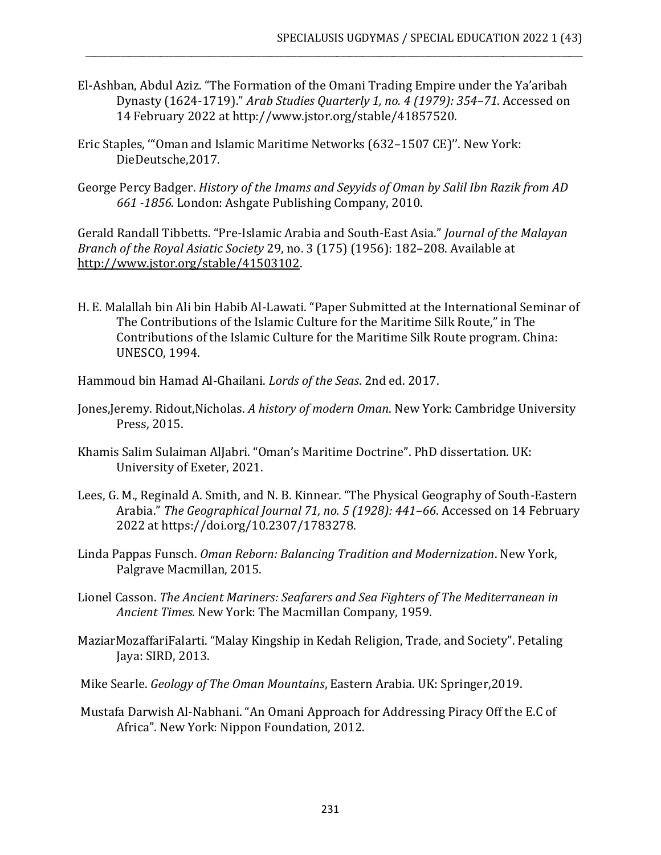El-Ashban, Abdul Aziz. "The Formation of the Omani Trading Empire under the Ya'aribah Dynasty (1624-1719)." *Arab Studies Quarterly 1, no. 4 (1979): 354–71*. Accessed on 14 February 2022 at http://www.jstor.org/stable/41857520.

\_\_\_\_\_\_\_\_\_\_\_\_\_\_\_\_\_\_\_\_\_\_\_\_\_\_\_\_\_\_\_\_\_\_\_\_\_\_\_\_\_\_\_\_\_\_\_\_\_\_\_\_\_\_\_\_\_\_\_\_\_\_\_\_\_\_\_\_\_\_\_\_\_\_\_\_\_\_\_\_\_\_\_\_\_\_\_\_\_\_\_\_\_\_\_\_\_\_\_\_\_\_\_\_\_\_\_\_\_\_\_\_\_

- Eric Staples, '"Oman and Islamic Maritime Networks (632–1507 CE)''. New York: DieDeutsche,2017.
- George Percy Badger. *History of the Imams and Seyyids of Oman by Salil Ibn Razik from AD 661 -1856*. London: Ashgate Publishing Company, 2010.

Gerald Randall Tibbetts. "Pre-Islamic Arabia and South-East Asia." *Journal of the Malayan Branch of the Royal Asiatic Society* 29, no. 3 (175) (1956): 182–208. Available at [http://www.jstor.org/stable/41503102.](http://www.jstor.org/stable/41503102)

- H. E. Malallah bin Ali bin Habib Al-Lawati. "Paper Submitted at the International Seminar of The Contributions of the Islamic Culture for the Maritime Silk Route," in The Contributions of the Islamic Culture for the Maritime Silk Route program. China: UNESCO, 1994.
- Hammoud bin Hamad Al-Ghailani. *Lords of the Seas*. 2nd ed. 2017.
- Jones,Jeremy. Ridout,Nicholas. *A history of modern Oman*. New York: Cambridge University Press, 2015.
- Khamis Salim Sulaiman AlJabri. "Oman's Maritime Doctrine". PhD dissertation. UK: University of Exeter, 2021.
- Lees, G. M., Reginald A. Smith, and N. B. Kinnear. "The Physical Geography of South-Eastern Arabia." *The Geographical Journal 71, no. 5 (1928): 441–66*. Accessed on 14 February 2022 at https://doi.org/10.2307/1783278.
- Linda Pappas Funsch. *Oman Reborn: Balancing Tradition and Modernization*. New York, Palgrave Macmillan, 2015.
- Lionel Casson. *The Ancient Mariners: Seafarers and Sea Fighters of The Mediterranean in Ancient Times.* New York: The Macmillan Company, 1959.
- MaziarMozaffariFalarti. "Malay Kingship in Kedah Religion, Trade, and Society". Petaling Jaya: SIRD, 2013.
- Mike Searle. *Geology of The Oman Mountains*, Eastern Arabia. UK: Springer,2019.
- Mustafa Darwish Al-Nabhani. "An Omani Approach for Addressing Piracy Off the E.C of Africa". New York: Nippon Foundation, 2012.